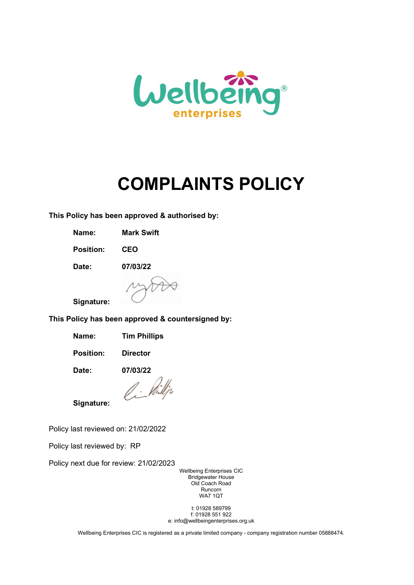

# COMPLAINTS POLICY

This Policy has been approved & authorised by:

Name: Mark Swift

Position: CEO

Date: 07/03/22



Signature:

This Policy has been approved & countersigned by:

Name: Tim Phillips

Position: Director

Date: 07/03/22

Ci Pilli

Signature:

Policy last reviewed on: 21/02/2022

Policy last reviewed by: RP

Policy next due for review: 21/02/2023

Wellbeing Enterprises CIC Bridgewater House Old Coach Road Runcorn WA7 1QT

t: 01928 589799 f: 01928 551 922 e: info@wellbeingenterprises.org.uk

Wellbeing Enterprises CIC is registered as a private limited company - company registration number 05888474.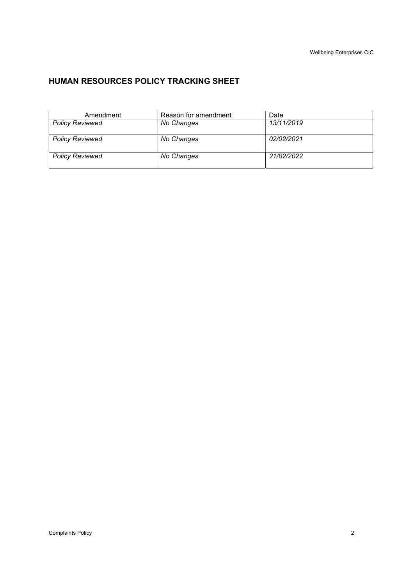# HUMAN RESOURCES POLICY TRACKING SHEET

| Amendment              | Reason for amendment | Date       |
|------------------------|----------------------|------------|
| <b>Policy Reviewed</b> | No Changes           | 13/11/2019 |
|                        |                      |            |
| <b>Policy Reviewed</b> | No Changes           | 02/02/2021 |
|                        |                      |            |
| <b>Policy Reviewed</b> | No Changes           | 21/02/2022 |
|                        |                      |            |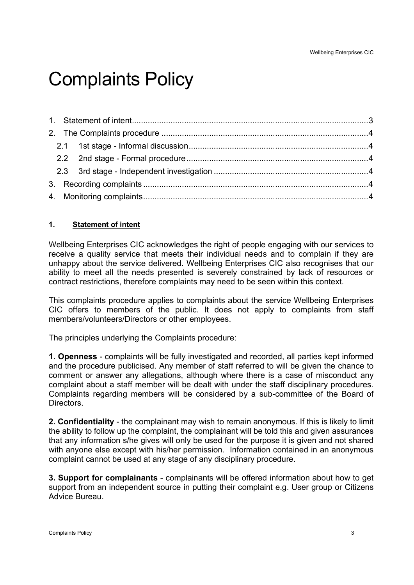# Complaints Policy

# 1. Statement of intent

Wellbeing Enterprises CIC acknowledges the right of people engaging with our services to receive a quality service that meets their individual needs and to complain if they are unhappy about the service delivered. Wellbeing Enterprises CIC also recognises that our ability to meet all the needs presented is severely constrained by lack of resources or contract restrictions, therefore complaints may need to be seen within this context.

This complaints procedure applies to complaints about the service Wellbeing Enterprises CIC offers to members of the public. It does not apply to complaints from staff members/volunteers/Directors or other employees.

The principles underlying the Complaints procedure:

1. Openness - complaints will be fully investigated and recorded, all parties kept informed and the procedure publicised. Any member of staff referred to will be given the chance to comment or answer any allegations, although where there is a case of misconduct any complaint about a staff member will be dealt with under the staff disciplinary procedures. Complaints regarding members will be considered by a sub-committee of the Board of **Directors** 

2. Confidentiality - the complainant may wish to remain anonymous. If this is likely to limit the ability to follow up the complaint, the complainant will be told this and given assurances that any information s/he gives will only be used for the purpose it is given and not shared with anyone else except with his/her permission. Information contained in an anonymous complaint cannot be used at any stage of any disciplinary procedure.

3. Support for complainants - complainants will be offered information about how to get support from an independent source in putting their complaint e.g. User group or Citizens Advice Bureau.